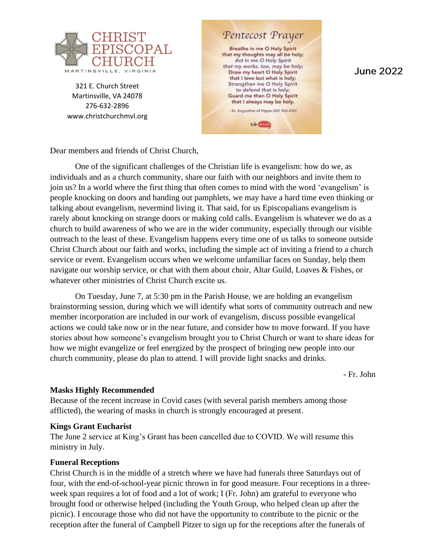

321 E. Church Street Martinsville, VA 24078 276-632-2896 www.christchurchmvl.org

Pentecost Prayer Breathe in me O Holy Spirit that my thoughts may all be holy; Act in me O Holy Spirit that my works, too, may be holy: Draw my heart O Holy Spirit that I love but what is holy; Strengthen me O Holy Spirit to defend that is holy; Guard me then O Holy Spirit that I always may be holy. - St. Augustine of Hippo (AD 354-430)

**talk Guinea** 

**June 2022** 

Dear members and friends of Christ Church,

One of the significant challenges of the Christian life is evangelism: how do we, as individuals and as a church community, share our faith with our neighbors and invite them to join us? In a world where the first thing that often comes to mind with the word 'evangelism' is people knocking on doors and handing out pamphlets, we may have a hard time even thinking or talking about evangelism, nevermind living it. That said, for us Episcopalians evangelism is rarely about knocking on strange doors or making cold calls. Evangelism is whatever we do as a church to build awareness of who we are in the wider community, especially through our visible outreach to the least of these. Evangelism happens every time one of us talks to someone outside Christ Church about our faith and works, including the simple act of inviting a friend to a church service or event. Evangelism occurs when we welcome unfamiliar faces on Sunday, help them navigate our worship service, or chat with them about choir, Altar Guild, Loaves & Fishes, or whatever other ministries of Christ Church excite us.

On Tuesday, June 7, at 5:30 pm in the Parish House, we are holding an evangelism brainstorming session, during which we will identify what sorts of community outreach and new member incorporation are included in our work of evangelism, discuss possible evangelical actions we could take now or in the near future, and consider how to move forward. If you have stories about how someone's evangelism brought you to Christ Church or want to share ideas for how we might evangelize or feel energized by the prospect of bringing new people into our church community, please do plan to attend. I will provide light snacks and drinks.

- Fr. John

#### **Masks Highly Recommended**

Because of the recent increase in Covid cases (with several parish members among those afflicted), the wearing of masks in church is strongly encouraged at present.

#### **Kings Grant Eucharist**

The June 2 service at King's Grant has been cancelled due to COVID. We will resume this ministry in July.

#### **Funeral Receptions**

Christ Church is in the middle of a stretch where we have had funerals three Saturdays out of four, with the end-of-school-year picnic thrown in for good measure. Four receptions in a threeweek span requires a lot of food and a lot of work; I (Fr. John) am grateful to everyone who brought food or otherwise helped (including the Youth Group, who helped clean up after the picnic). I encourage those who did not have the opportunity to contribute to the picnic or the reception after the funeral of Campbell Pitzer to sign up for the receptions after the funerals of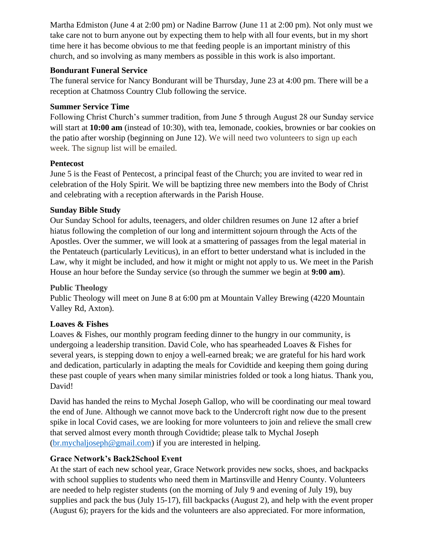Martha Edmiston (June 4 at 2:00 pm) or Nadine Barrow (June 11 at 2:00 pm). Not only must we take care not to burn anyone out by expecting them to help with all four events, but in my short time here it has become obvious to me that feeding people is an important ministry of this church, and so involving as many members as possible in this work is also important.

#### **Bondurant Funeral Service**

The funeral service for Nancy Bondurant will be Thursday, June 23 at 4:00 pm. There will be a reception at Chatmoss Country Club following the service.

### **Summer Service Time**

Following Christ Church's summer tradition, from June 5 through August 28 our Sunday service will start at **10:00 am** (instead of 10:30), with tea, lemonade, cookies, brownies or bar cookies on the patio after worship (beginning on June 12). We will need two volunteers to sign up each week. The signup list will be emailed.

## **Pentecost**

June 5 is the Feast of Pentecost, a principal feast of the Church; you are invited to wear red in celebration of the Holy Spirit. We will be baptizing three new members into the Body of Christ and celebrating with a reception afterwards in the Parish House.

## **Sunday Bible Study**

Our Sunday School for adults, teenagers, and older children resumes on June 12 after a brief hiatus following the completion of our long and intermittent sojourn through the Acts of the Apostles. Over the summer, we will look at a smattering of passages from the legal material in the Pentateuch (particularly Leviticus), in an effort to better understand what is included in the Law, why it might be included, and how it might or might not apply to us. We meet in the Parish House an hour before the Sunday service (so through the summer we begin at **9:00 am**).

# **Public Theology**

Public Theology will meet on June 8 at 6:00 pm at Mountain Valley Brewing (4220 Mountain Valley Rd, Axton).

# **Loaves & Fishes**

Loaves & Fishes, our monthly program feeding dinner to the hungry in our community, is undergoing a leadership transition. David Cole, who has spearheaded Loaves & Fishes for several years, is stepping down to enjoy a well-earned break; we are grateful for his hard work and dedication, particularly in adapting the meals for Covidtide and keeping them going during these past couple of years when many similar ministries folded or took a long hiatus. Thank you, David!

David has handed the reins to Mychal Joseph Gallop, who will be coordinating our meal toward the end of June. Although we cannot move back to the Undercroft right now due to the present spike in local Covid cases, we are looking for more volunteers to join and relieve the small crew that served almost every month through Covidtide; please talk to Mychal Joseph [\(br.mychaljoseph@gmail.com\)](about:blank) if you are interested in helping.

# **Grace Network's Back2School Event**

At the start of each new school year, Grace Network provides new socks, shoes, and backpacks with school supplies to students who need them in Martinsville and Henry County. Volunteers are needed to help register students (on the morning of July 9 and evening of July 19), buy supplies and pack the bus (July 15-17), fill backpacks (August 2), and help with the event proper (August 6); prayers for the kids and the volunteers are also appreciated. For more information,